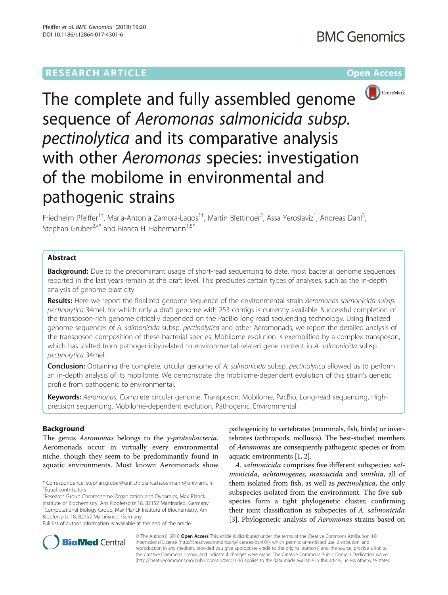# **RESEARCH ARTICLE Example 2014 12:30 The Community Community Community Community Community Community Community**



The complete and fully assembled genome sequence of Aeromonas salmonicida subsp. pectinolytica and its comparative analysis with other Aeromonas species: investigation of the mobilome in environmental and pathogenic strains

Friedhelm Pfeiffer<sup>1†</sup>, Maria-Antonia Zamora-Lagos<sup>1†</sup>, Martin Blettinger<sup>2</sup>, Assa Yeroslaviz<sup>1</sup>, Andreas Dahl<sup>3</sup> , Stephan Gruber<sup>2,4\*</sup> and Bianca H. Habermann<sup>1,5\*</sup>

## Abstract

**Background:** Due to the predominant usage of short-read sequencing to date, most bacterial genome sequences reported in the last years remain at the draft level. This precludes certain types of analyses, such as the in-depth analysis of genome plasticity.

Results: Here we report the finalized genome sequence of the environmental strain Aeromonas salmonicida subsp. pectinolytica 34mel, for which only a draft genome with 253 contigs is currently available. Successful completion of the transposon-rich genome critically depended on the PacBio long read sequencing technology. Using finalized genome sequences of A. salmonicida subsp. pectinolytica and other Aeromonads, we report the detailed analysis of the transposon composition of these bacterial species. Mobilome evolution is exemplified by a complex transposon, which has shifted from pathogenicity-related to environmental-related gene content in A. salmonicida subsp. pectinolytica 34mel.

**Conclusion:** Obtaining the complete, circular genome of A. salmonicida subsp. pectinolytica allowed us to perform an in-depth analysis of its mobilome. We demonstrate the mobilome-dependent evolution of this strain's genetic profile from pathogenic to environmental.

Keywords: Aeromonas, Complete circular genome, Transposon, Mobilome, PacBio, Long-read sequencing, Highprecision sequencing, Mobilome-dependent evolution, Pathogenic, Environmental

## Background

The genus Aeromonas belongs to the γ-proteobacteria. Aeromonads occur in virtually every environmental niche, though they seem to be predominantly found in aquatic environments. Most known Aeromonads show

\* Correspondence: [stephan.gruber@unil.ch;](mailto:stephan.gruber@unil.ch) [bianca.habermann@univ-amu.fr](mailto:bianca.habermann@univ-amu.fr) † Equal contributors

<sup>2</sup> Research Group Chromosome Organization and Dynamics, Max Planck Institute of Biochemistry, Am Klopferspitz 18, 82152 Martinsried, Germany <sup>1</sup>Computational Biology Group, Max Planck Institute of Biochemistry, Am Klopferspitz 18, 82152 Martinsried, Germany

Full list of author information is available at the end of the article

pathogenicity to vertebrates (mammals, fish, birds) or invertebrates (arthropods, molluscs). The best-studied members of Aeromonas are consequently pathogenic species or from aquatic environments [\[1, 2\]](#page-13-0).

A. salmonicida comprises five different subspecies: salmonicida, achtomogenes, masoucida and smithia, all of them isolated from fish, as well as *pectinolytica*, the only subspecies isolated from the environment. The five subspecies form a tight phylogenetic cluster, confirming their joint classification as subspecies of A. salmonicida [[3\]](#page-13-0). Phylogenetic analysis of *Aeromonas* strains based on



© The Author(s). 2018 Open Access This article is distributed under the terms of the Creative Commons Attribution 4.0 International License [\(http://creativecommons.org/licenses/by/4.0/](http://creativecommons.org/licenses/by/4.0/)), which permits unrestricted use, distribution, and reproduction in any medium, provided you give appropriate credit to the original author(s) and the source, provide a link to the Creative Commons license, and indicate if changes were made. The Creative Commons Public Domain Dedication waiver [\(http://creativecommons.org/publicdomain/zero/1.0/](http://creativecommons.org/publicdomain/zero/1.0/)) applies to the data made available in this article, unless otherwise stated.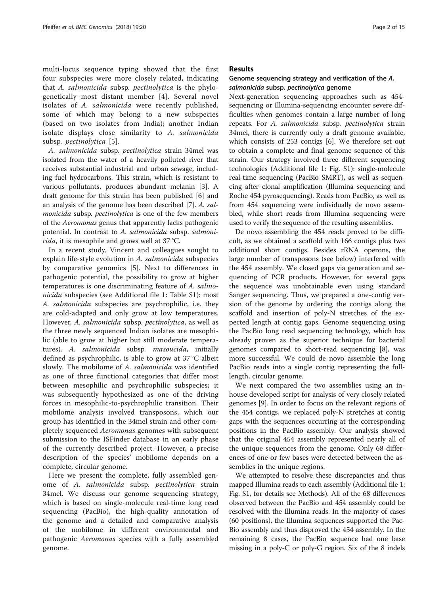multi-locus sequence typing showed that the first four subspecies were more closely related, indicating that A. salmonicida subsp. pectinolytica is the phylogenetically most distant member [[4\]](#page-13-0). Several novel isolates of A. salmonicida were recently published, some of which may belong to a new subspecies (based on two isolates from India); another Indian isolate displays close similarity to A. salmonicida subsp. *pectinolytica* [[5](#page-13-0)].

A. salmonicida subsp. pectinolytica strain 34mel was isolated from the water of a heavily polluted river that receives substantial industrial and urban sewage, including fuel hydrocarbons. This strain, which is resistant to various pollutants, produces abundant melanin [[3\]](#page-13-0). A draft genome for this strain has been published [[6\]](#page-13-0) and an analysis of the genome has been described [[7\]](#page-13-0). A. salmonicida subsp. pectinolytica is one of the few members of the Aeromonas genus that apparently lacks pathogenic potential. In contrast to A. salmonicida subsp. salmonicida, it is mesophile and grows well at 37 °C.

In a recent study, Vincent and colleagues sought to explain life-style evolution in A. salmonicida subspecies by comparative genomics [\[5](#page-13-0)]. Next to differences in pathogenic potential, the possibility to grow at higher temperatures is one discriminating feature of A. salmonicida subspecies (see Additional file [1](#page-12-0): Table S1): most A. salmonicida subspecies are psychrophilic, i.e. they are cold-adapted and only grow at low temperatures. However, A. salmonicida subsp. pectinolytica, as well as the three newly sequenced Indian isolates are mesophilic (able to grow at higher but still moderate temperatures). A. salmonicida subsp. masoucida, initially defined as psychrophilic, is able to grow at 37 °C albeit slowly. The mobilome of A. salmonicida was identified as one of three functional categories that differ most between mesophilic and psychrophilic subspecies; it was subsequently hypothesized as one of the driving forces in mesophilic-to-psychrophilic transition. Their mobilome analysis involved transposons, which our group has identified in the 34mel strain and other completely sequenced Aeromonas genomes with subsequent submission to the ISFinder database in an early phase of the currently described project. However, a precise description of the species' mobilome depends on a complete, circular genome.

Here we present the complete, fully assembled genome of A. salmonicida subsp. pectinolytica strain 34mel. We discuss our genome sequencing strategy, which is based on single-molecule real-time long read sequencing (PacBio), the high-quality annotation of the genome and a detailed and comparative analysis of the mobilome in different environmental and pathogenic Aeromonas species with a fully assembled genome.

## Results

## Genome sequencing strategy and verification of the A. salmonicida subsp. pectinolytica genome

Next-generation sequencing approaches such as 454 sequencing or Illumina-sequencing encounter severe difficulties when genomes contain a large number of long repeats. For A. salmonicida subsp. pectinolytica strain 34mel, there is currently only a draft genome available, which consists of 253 contigs [\[6](#page-13-0)]. We therefore set out to obtain a complete and final genome sequence of this strain. Our strategy involved three different sequencing technologies (Additional file [1:](#page-12-0) Fig. S1): single-molecule real-time sequencing (PacBio SMRT), as well as sequencing after clonal amplification (Illumina sequencing and Roche 454 pyrosequencing). Reads from PacBio, as well as from 454 sequencing were individually de novo assembled, while short reads from Illumina sequencing were used to verify the sequence of the resulting assemblies.

De novo assembling the 454 reads proved to be difficult, as we obtained a scaffold with 166 contigs plus two additional short contigs. Besides rRNA operons, the large number of transposons (see below) interfered with the 454 assembly. We closed gaps via generation and sequencing of PCR products. However, for several gaps the sequence was unobtainable even using standard Sanger sequencing. Thus, we prepared a one-contig version of the genome by ordering the contigs along the scaffold and insertion of poly-N stretches of the expected length at contig gaps. Genome sequencing using the PacBio long read sequencing technology, which has already proven as the superior technique for bacterial genomes compared to short-read sequencing [[8\]](#page-13-0), was more successful. We could de novo assemble the long PacBio reads into a single contig representing the fulllength, circular genome.

We next compared the two assemblies using an inhouse developed script for analysis of very closely related genomes [[9\]](#page-13-0). In order to focus on the relevant regions of the 454 contigs, we replaced poly-N stretches at contig gaps with the sequences occurring at the corresponding positions in the PacBio assembly. Our analysis showed that the original 454 assembly represented nearly all of the unique sequences from the genome. Only 68 differences of one or few bases were detected between the assemblies in the unique regions.

We attempted to resolve these discrepancies and thus mapped Illumina reads to each assembly (Additional file [1](#page-12-0): Fig. S1, for details see Methods). All of the 68 differences observed between the PacBio and 454 assembly could be resolved with the Illumina reads. In the majority of cases (60 positions), the Illumina sequences supported the Pac-Bio assembly and thus disproved the 454 assembly. In the remaining 8 cases, the PacBio sequence had one base missing in a poly-C or poly-G region. Six of the 8 indels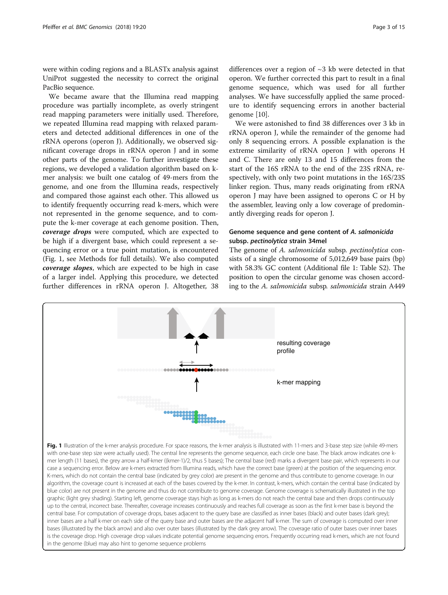<span id="page-2-0"></span>were within coding regions and a BLASTx analysis against UniProt suggested the necessity to correct the original PacBio sequence.

We became aware that the Illumina read mapping procedure was partially incomplete, as overly stringent read mapping parameters were initially used. Therefore, we repeated Illumina read mapping with relaxed parameters and detected additional differences in one of the rRNA operons (operon J). Additionally, we observed significant coverage drops in rRNA operon J and in some other parts of the genome. To further investigate these regions, we developed a validation algorithm based on kmer analysis: we built one catalog of 49-mers from the genome, and one from the Illumina reads, respectively and compared those against each other. This allowed us to identify frequently occurring read k-mers, which were not represented in the genome sequence, and to compute the k-mer coverage at each genome position. Then, coverage drops were computed, which are expected to be high if a divergent base, which could represent a sequencing error or a true point mutation, is encountered (Fig. 1, see Methods for full details). We also computed coverage slopes, which are expected to be high in case of a larger indel. Applying this procedure, we detected further differences in rRNA operon J. Altogether, 38

differences over a region of ~3 kb were detected in that operon. We further corrected this part to result in a final genome sequence, which was used for all further analyses. We have successfully applied the same procedure to identify sequencing errors in another bacterial

We were astonished to find 38 differences over 3 kb in rRNA operon J, while the remainder of the genome had only 8 sequencing errors. A possible explanation is the extreme similarity of rRNA operon J with operons H and C. There are only 13 and 15 differences from the start of the 16S rRNA to the end of the 23S rRNA, respectively, with only two point mutations in the 16S/23S linker region. Thus, many reads originating from rRNA operon J may have been assigned to operons C or H by the assembler, leaving only a low coverage of predominantly diverging reads for operon J.

genome [\[10\]](#page-13-0).

## Genome sequence and gene content of A. salmonicida subsp. pectinolytica strain 34mel

The genome of A. salmonicida subsp. pectinolytica consists of a single chromosome of 5,012,649 base pairs (bp) with 58.3% GC content (Additional file [1](#page-12-0): Table S2). The position to open the circular genome was chosen according to the A. salmonicida subsp. salmonicida strain A449

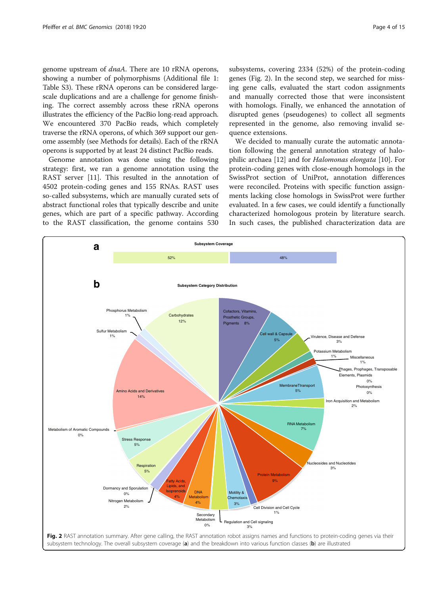genome upstream of dnaA. There are 10 rRNA operons, showing a number of polymorphisms (Additional file [1](#page-12-0): Table S3). These rRNA operons can be considered largescale duplications and are a challenge for genome finishing. The correct assembly across these rRNA operons illustrates the efficiency of the PacBio long-read approach. We encountered 370 PacBio reads, which completely traverse the rRNA operons, of which 369 support our genome assembly (see Methods for details). Each of the rRNA operons is supported by at least 24 distinct PacBio reads.

Genome annotation was done using the following strategy: first, we ran a genome annotation using the RAST server [[11](#page-13-0)]. This resulted in the annotation of 4502 protein-coding genes and 155 RNAs. RAST uses so-called subsystems, which are manually curated sets of abstract functional roles that typically describe and unite genes, which are part of a specific pathway. According to the RAST classification, the genome contains 530 subsystems, covering 2334 (52%) of the protein-coding genes (Fig. 2). In the second step, we searched for missing gene calls, evaluated the start codon assignments and manually corrected those that were inconsistent with homologs. Finally, we enhanced the annotation of disrupted genes (pseudogenes) to collect all segments represented in the genome, also removing invalid sequence extensions.

We decided to manually curate the automatic annotation following the general annotation strategy of halophilic archaea [\[12](#page-13-0)] and for Halomonas elongata [\[10](#page-13-0)]. For protein-coding genes with close-enough homologs in the SwissProt section of UniProt, annotation differences were reconciled. Proteins with specific function assignments lacking close homologs in SwissProt were further evaluated. In a few cases, we could identify a functionally characterized homologous protein by literature search. In such cases, the published characterization data are

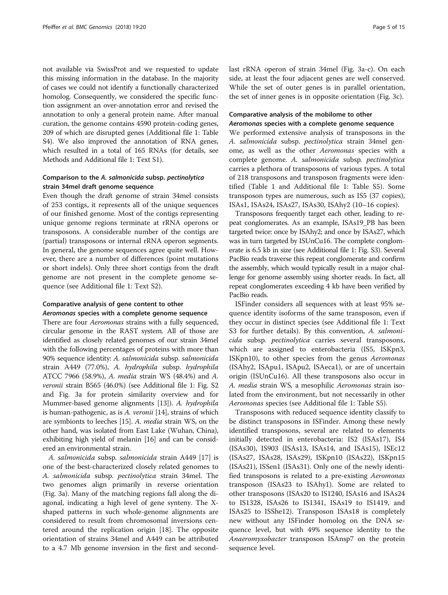not available via SwissProt and we requested to update this missing information in the database. In the majority of cases we could not identify a functionally characterized homolog. Consequently, we considered the specific function assignment an over-annotation error and revised the annotation to only a general protein name. After manual curation, the genome contains 4590 protein-coding genes, 209 of which are disrupted genes (Additional file [1:](#page-12-0) Table S4). We also improved the annotation of RNA genes, which resulted in a total of 165 RNAs (for details, see Methods and Additional file [1:](#page-12-0) Text S1).

## Comparison to the A. salmonicida subsp. pectinolytica strain 34mel draft genome sequence

Even though the draft genome of strain 34mel consists of 253 contigs, it represents all of the unique sequences of our finished genome. Most of the contigs representing unique genome regions terminate at rRNA operons or transposons. A considerable number of the contigs are (partial) transposons or internal rRNA operon segments. In general, the genome sequences agree quite well. However, there are a number of differences (point mutations or short indels). Only three short contigs from the draft genome are not present in the complete genome sequence (see Additional file [1:](#page-12-0) Text S2).

## Comparative analysis of gene content to other Aeromonas species with a complete genome sequence

There are four *Aeromonas* strains with a fully sequenced, circular genome in the RAST system. All of those are identified as closely related genomes of our strain 34mel with the following percentages of proteins with more than 90% sequence identity: A. salmonicida subsp. salmonicida strain A449 (77.0%), A. hydrophila subsp. hydrophila ATCC 7966 (58.9%), A. media strain WS (48.4%) and A. veronii strain B565 (46.0%) (see Additional file [1:](#page-12-0) Fig. S2 and Fig. [3a](#page-5-0) for protein similarity overview and for Mummer-based genome alignments [\[13\]](#page-13-0)). A. hydrophila is human-pathogenic, as is A. veronii [[14](#page-13-0)], strains of which are symbionts to leeches [[15](#page-13-0)]. A. media strain WS, on the other hand, was isolated from East Lake (Wuhan, China), exhibiting high yield of melanin [[16](#page-13-0)] and can be considered an environmental strain.

A. salmonicida subsp. salmonicida strain A449 [[17](#page-13-0)] is one of the best-characterized closely related genomes to A. salmonicida subsp. pectinolytica strain 34mel. The two genomes align primarily in reverse orientation (Fig. [3a\)](#page-5-0). Many of the matching regions fall along the diagonal, indicating a high level of gene synteny. The Xshaped patterns in such whole-genome alignments are considered to result from chromosomal inversions centered around the replication origin [[18\]](#page-13-0). The opposite orientation of strains 34mel and A449 can be attributed to a 4.7 Mb genome inversion in the first and secondlast rRNA operon of strain 34mel (Fig. [3a-c](#page-5-0)). On each side, at least the four adjacent genes are well conserved. While the set of outer genes is in parallel orientation, the set of inner genes is in opposite orientation (Fig. [3c](#page-5-0)).

## Comparative analysis of the mobilome to other Aeromonas species with a complete genome sequence

We performed extensive analysis of transposons in the A. salmonicida subsp. pectinolytica strain 34mel genome, as well as the other Aeromonas species with a complete genome. A. salmonicida subsp. pectinolytica carries a plethora of transposons of various types. A total of 218 transposons and transposon fragments were identified (Table [1](#page-6-0) and Additional file [1](#page-12-0): Table S5). Some transposon types are numerous, such as IS5 (37 copies), ISAs1, ISAs24, ISAs27, ISAs30, ISAhy2 (10–16 copies).

Transposons frequently target each other, leading to repeat conglomerates. As an example, ISAs19\_PB has been targeted twice: once by ISAhy2; and once by ISAs27, which was in turn targeted by ISUnCu16. The complete conglomerate is 6.5 kb in size (see Additional file [1:](#page-12-0) Fig. S3). Several PacBio reads traverse this repeat conglomerate and confirm the assembly, which would typically result in a major challenge for genome assembly using shorter reads. In fact, all repeat conglomerates exceeding 4 kb have been verified by PacBio reads.

ISFinder considers all sequences with at least 95% sequence identity isoforms of the same transposon, even if they occur in distinct species (see Additional file [1](#page-12-0): Text S3 for further details). By this convention, A. salmonicida subsp. pectinolytica carries several transposons, which are assigned to enterobacteria (IS5, ISKpn3, ISKpn10), to other species from the genus Aeromonas (ISAhy2, ISApu1, ISApu2, ISAeca1), or are of uncertain origin (ISUnCu16). All these transposons also occur in A. media strain WS, a mesophilic Aeromonas strain isolated from the environment, but not necessarily in other Aeromonas species (see Additional file [1:](#page-12-0) Table S5).

Transposons with reduced sequence identity classify to be distinct transposons in ISFinder. Among these newly identified transposons, several are related to elements initially detected in enterobacteria: IS2 (ISAs17), IS4 (ISAs30), IS903 (ISAs13, ISAs14, and ISAs15), ISEc12 (ISAs27, ISAs28, ISAs29), ISKpn10 (ISAs22), ISKpn15 (ISAs21), ISSen1 (ISAs31). Only one of the newly identified transposons is related to a pre-existing Aeromonas transposon (ISAs23 to ISAhy1). Some are related to other transposons (ISAs20 to IS1240, ISAs16 and ISAs24 to IS1328, ISAs26 to IS1341, ISAs19 to IS1419, and ISAs25 to ISShe12). Transposon ISAs18 is completely new without any ISFinder homolog on the DNA sequence level, but with 49% sequence identity to the Anaeromyxobacter transposon ISAnsp7 on the protein sequence level.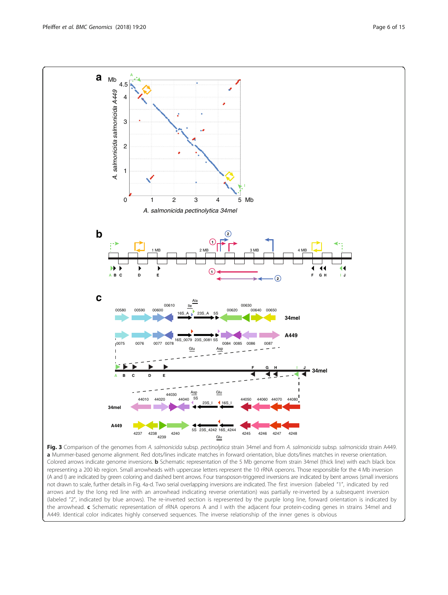<span id="page-5-0"></span>

Fig. 3 Comparison of the genomes from A. salmonicida subsp. pectinolytica strain 34mel and from A. salmonicida subsp. salmonicida strain A449. a Mummer-based genome alignment. Red dots/lines indicate matches in forward orientation, blue dots/lines matches in reverse orientation. Colored arrows indicate genome inversions. **b** Schematic representation of the 5 Mb genome from strain 34mel (thick line) with each black box representing a 200 kb region. Small arrowheads with uppercase letters represent the 10 rRNA operons. Those responsible for the 4 Mb inversion (A and I) are indicated by green coloring and dashed bent arrows. Four transposon-triggered inversions are indicated by bent arrows (small inversions not drawn to scale, further details in Fig. [4a-d](#page-7-0). Two serial overlapping inversions are indicated. The first inversion (labeled "1", indicated by red arrows and by the long red line with an arrowhead indicating reverse orientation) was partially re-inverted by a subsequent inversion (labeled "2", indicated by blue arrows). The re-inverted section is represented by the purple long line, forward orientation is indicated by the arrowhead. c Schematic representation of rRNA operons A and I with the adjacent four protein-coding genes in strains 34mel and A449. Identical color indicates highly conserved sequences. The inverse relationship of the inner genes is obvious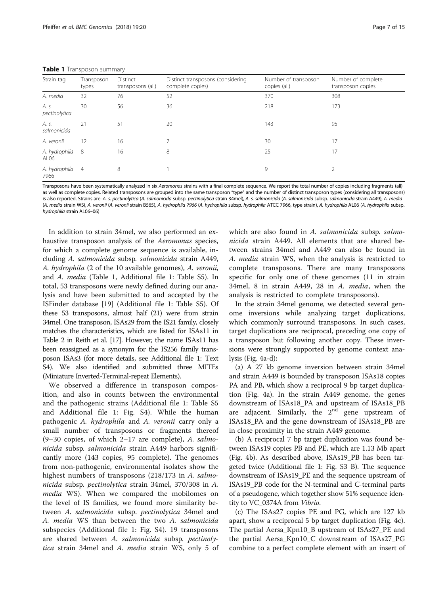<span id="page-6-0"></span>

| Strain tag                        | Transposon<br>types | Distinct<br>transposons (all) | Distinct transposons (considering<br>complete copies) | Number of transposon<br>copies (all) | Number of complete<br>transposon copies |
|-----------------------------------|---------------------|-------------------------------|-------------------------------------------------------|--------------------------------------|-----------------------------------------|
| A. media                          | 32                  | 76                            | 52                                                    | 370                                  | 308                                     |
| A. s.<br>pectinolytica            | 30                  | 56                            | 36                                                    | 218                                  | 173                                     |
| A. s.<br>salmonicida              | 21                  | 51                            | 20                                                    | 143                                  | 95                                      |
| A. veronii                        | 12                  | 16                            |                                                       | 30                                   | 17                                      |
| A. hydrophila<br>AL <sub>06</sub> | -8                  | 16                            | 8                                                     | 25                                   | 17                                      |
| A. hydrophila<br>7966             | $\overline{4}$      | 8                             |                                                       | 9                                    |                                         |

Transposons have been systematically analyzed in six Aeromonas strains with a final complete sequence. We report the total number of copies including fragments (all) as well as complete copies. Related transposons are grouped into the same transposon "type" and the number of distinct transposon types (considering all transposons) is also reported. Strains are: A. s. pectinolytica (A. salmonicida subsp. pectinolytica strain 34mel), A. s. salmonicida (A. salmonicida subsp. salmonicida strain A449), A. media (A. media strain WS), A. veronii (A. veronii strain B565), A. hydrophila 7966 (A. hydrophila subsp. hydrophila ATCC 7966, type strain), A. hydrophila AL06 (A. hydrophila subsp. hydrophila strain AL06–06)

In addition to strain 34mel, we also performed an exhaustive transposon analysis of the Aeromonas species, for which a complete genome sequence is available, including A. salmonicida subsp. salmonicida strain A449, A. hydrophila (2 of the 10 available genomes), A. veronii, and A. media (Table 1, Additional file [1](#page-12-0): Table S5). In total, 53 transposons were newly defined during our analysis and have been submitted to and accepted by the ISFinder database [\[19\]](#page-13-0) (Additional file [1:](#page-12-0) Table S5). Of these 53 transposons, almost half (21) were from strain 34mel. One transposon, ISAs29 from the IS21 family, closely matches the characteristics, which are listed for ISAs11 in Table 2 in Reith et al. [\[17](#page-13-0)]. However, the name ISAs11 has been reassigned as a synonym for the IS256 family transposon ISAs3 (for more details, see Additional file [1](#page-12-0): Text S4). We also identified and submitted three MITEs (Miniature Inverted-Terminal-repeat Elements).

We observed a difference in transposon composition, and also in counts between the environmental and the pathogenic strains (Additional file [1:](#page-12-0) Table S5 and Additional file [1](#page-12-0): Fig. S4). While the human pathogenic A. hydrophila and A. veronii carry only a small number of transposons or fragments thereof  $(9-30$  copies, of which  $2-17$  are complete), A. salmonicida subsp. salmonicida strain A449 harbors significantly more (143 copies, 95 complete). The genomes from non-pathogenic, environmental isolates show the highest numbers of transposons (218/173 in A. salmonicida subsp. pectinolytica strain 34mel, 370/308 in A. *media* WS). When we compared the mobilomes on the level of IS families, we found more similarity between A. salmonicida subsp. pectinolytica 34mel and A. media WS than between the two A. salmonicida subspecies (Additional file [1](#page-12-0): Fig. S4). 19 transposons are shared between A. salmonicida subsp. pectinolytica strain 34mel and A. media strain WS, only 5 of

which are also found in A. salmonicida subsp. salmonicida strain A449. All elements that are shared between strains 34mel and A449 can also be found in A. media strain WS, when the analysis is restricted to complete transposons. There are many transposons specific for only one of these genomes (11 in strain 34mel, 8 in strain A449, 28 in A. media, when the analysis is restricted to complete transposons).

In the strain 34mel genome, we detected several genome inversions while analyzing target duplications, which commonly surround transposons. In such cases, target duplications are reciprocal, preceding one copy of a transposon but following another copy. These inversions were strongly supported by genome context analysis (Fig. [4a-d](#page-7-0)):

(a) A 27 kb genome inversion between strain 34mel and strain A449 is bounded by transposon ISAs18 copies PA and PB, which show a reciprocal 9 bp target duplication (Fig. [4a\)](#page-7-0). In the strain A449 genome, the genes downstream of ISAs18\_PA and upstream of ISAs18\_PB are adjacent. Similarly, the 2<sup>nd</sup> gene upstream of ISAs18\_PA and the gene downstream of ISAs18\_PB are in close proximity in the strain A449 genome.

(b) A reciprocal 7 bp target duplication was found between ISAs19 copies PB and PE, which are 1.13 Mb apart (Fig. [4b](#page-7-0)). As described above, ISAs19\_PB has been targeted twice (Additional file [1:](#page-12-0) Fig. S3 B). The sequence downstream of ISAs19\_PE and the sequence upstream of ISAs19\_PB code for the N-terminal and C-terminal parts of a pseudogene, which together show 51% sequence identity to VC\_0374A from Vibrio.

(c) The ISAs27 copies PE and PG, which are 127 kb apart, show a reciprocal 5 bp target duplication (Fig. [4c](#page-7-0)). The partial Aersa\_Kpn10\_B upstream of ISAs27\_PE and the partial Aersa\_Kpn10\_C downstream of ISAs27\_PG combine to a perfect complete element with an insert of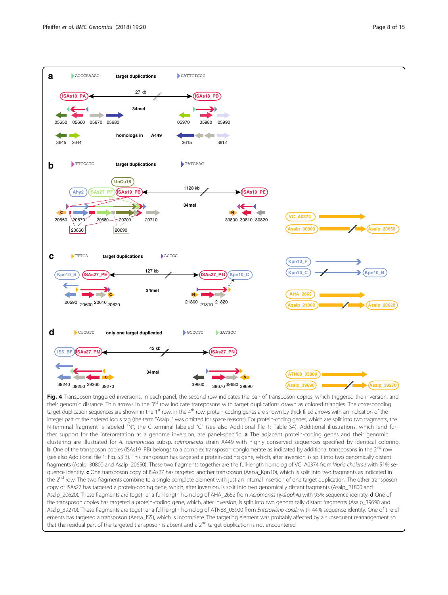<span id="page-7-0"></span>

Fig. 4 Transposon-triggered inversions. In each panel, the second row indicates the pair of transposon copies, which triggered the inversion, and their genomic distance. Thin arrows in the 3<sup>rd</sup> row indicate transposons with target duplications drawn as colored triangles. The corresponding target duplication sequences are shown in the  $1<sup>st</sup>$  row. In the  $4<sup>th</sup>$  row, protein-coding genes are shown by thick filled arrows with an indication of the integer part of the ordered locus tag (the term "Asalp\_" was omitted for space reasons). For protein-coding genes, which are split into two fragments, the N-terminal fragment is labeled "N", the C-terminal labeled "C" (see also Additional file [1](#page-12-0): Table S4). Additional illustrations, which lend further support for the interpretation as a genome inversion, are panel-specific. **a** The adjacent protein-coding genes and their genomic clustering are illustrated for A. salmonicida subsp. salmonicida strain A449 with highly conserved sequences specified by identical coloring. **b** One of the transposon copies (ISAs19\_PB) belongs to a complex transposon conglomerate as indicated by additional transposons in the 2<sup>nd</sup> row (see also Additional file [1](#page-12-0): Fig. S3 B). This transposon has targeted a protein-coding gene, which, after inversion, is split into two genomically distant fragments (Asalp\_30800 and Asalp\_20650). These two fragments together are the full-length homolog of VC\_A0374 from Vibrio cholerae with 51% sequence identity. c One transposon copy of ISAs27 has targeted another transposon (Aersa\_Kpn10), which is split into two fragments as indicated in the  $2<sup>nd</sup>$  row. The two fragments combine to a single complete element with just an internal insertion of one target duplication. The other transposon copy of ISAs27 has targeted a protein-coding gene, which, after inversion, is split into two genomically distant fragments (Asalp\_21800 and Asalp\_20620). These fragments are together a full-length homolog of AHA\_2662 from Aeromonas hydrophila with 95% sequence identity. d One of the transposon copies has targeted a protein-coding gene, which, after inversion, is split into two genomically distant fragments (Asalp\_39690 and Asalp\_39270). These fragments are together a full-length homolog of ATN88\_05900 from Enterovibrio coralii with 44% sequence identity. One of the elements has targeted a transposon (Aersa\_IS5), which is incomplete. The targeting element was probably affected by a subsequent rearrangement so that the residual part of the targeted transposon is absent and a  $2<sup>nd</sup>$  target duplication is not encountered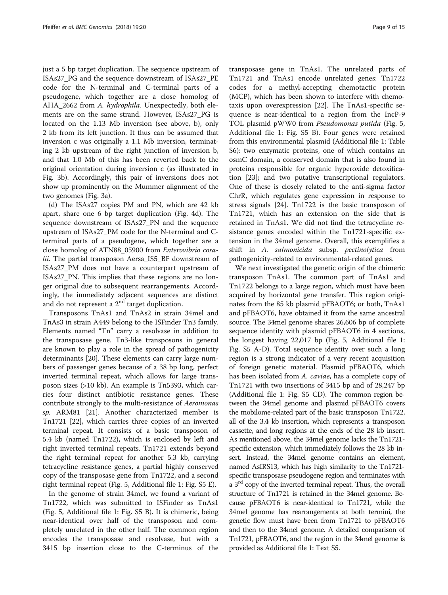just a 5 bp target duplication. The sequence upstream of ISAs27\_PG and the sequence downstream of ISAs27\_PE code for the N-terminal and C-terminal parts of a pseudogene, which together are a close homolog of AHA\_2662 from A. hydrophila. Unexpectedly, both elements are on the same strand. However, ISAs27\_PG is located on the 1.13 Mb inversion (see above, b), only 2 kb from its left junction. It thus can be assumed that inversion c was originally a 1.1 Mb inversion, terminating 2 kb upstream of the right junction of inversion b, and that 1.0 Mb of this has been reverted back to the original orientation during inversion c (as illustrated in Fig. [3b](#page-5-0)). Accordingly, this pair of inversions does not show up prominently on the Mummer alignment of the two genomes (Fig. [3a\)](#page-5-0).

(d) The ISAs27 copies PM and PN, which are 42 kb apart, share one 6 bp target duplication (Fig. [4d\)](#page-7-0). The sequence downstream of ISAs27\_PN and the sequence upstream of ISAs27\_PM code for the N-terminal and Cterminal parts of a pseudogene, which together are a close homolog of ATN88\_05900 from Enterovibrio coralii. The partial transposon Aersa\_IS5\_BF downstream of ISAs27\_PM does not have a counterpart upstream of ISAs27\_PN. This implies that these regions are no longer original due to subsequent rearrangements. Accordingly, the immediately adjacent sequences are distinct and do not represent a  $2<sup>nd</sup>$  target duplication.

Transposons TnAs1 and TnAs2 in strain 34mel and TnAs3 in strain A449 belong to the ISFinder Tn3 family. Elements named "Tn" carry a resolvase in addition to the transposase gene. Tn3-like transposons in general are known to play a role in the spread of pathogenicity determinants [\[20\]](#page-13-0). These elements can carry large numbers of passenger genes because of a 38 bp long, perfect inverted terminal repeat, which allows for large transposon sizes (>10 kb). An example is Tn5393, which carries four distinct antibiotic resistance genes. These contribute strongly to the multi-resistance of Aeromonas sp. ARM81 [\[21](#page-13-0)]. Another characterized member is Tn1721 [[22\]](#page-13-0), which carries three copies of an inverted terminal repeat. It consists of a basic transposon of 5.4 kb (named Tn1722), which is enclosed by left and right inverted terminal repeats. Tn1721 extends beyond the right terminal repeat for another 5.3 kb, carrying tetracycline resistance genes, a partial highly conserved copy of the transposase gene from Tn1722, and a second right terminal repeat (Fig. [5](#page-9-0), Additional file [1:](#page-12-0) Fig. S5 E).

In the genome of strain 34mel, we found a variant of Tn1722, which was submitted to ISFinder as TnAs1 (Fig. [5,](#page-9-0) Additional file [1:](#page-12-0) Fig. S5 B). It is chimeric, being near-identical over half of the transposon and completely unrelated in the other half. The common region encodes the transposase and resolvase, but with a 3415 bp insertion close to the C-terminus of the

transposase gene in TnAs1. The unrelated parts of Tn1721 and TnAs1 encode unrelated genes: Tn1722 codes for a methyl-accepting chemotactic protein (MCP), which has been shown to interfere with chemotaxis upon overexpression [[22](#page-13-0)]. The TnAs1-specific sequence is near-identical to a region from the IncP-9 TOL plasmid pWW0 from Pseudomonas putida (Fig. [5](#page-9-0), Additional file [1](#page-12-0): Fig. S5 B). Four genes were retained from this environmental plasmid (Additional file [1](#page-12-0): Table S6): two enzymatic proteins, one of which contains an osmC domain, a conserved domain that is also found in proteins responsible for organic hyperoxide detoxification [[23\]](#page-13-0); and two putative transcriptional regulators. One of these is closely related to the anti-sigma factor ChrR, which regulates gene expression in response to stress signals [\[24\]](#page-13-0). Tn1722 is the basic transposon of Tn1721, which has an extension on the side that is retained in TnAs1. We did not find the tetracycline resistance genes encoded within the Tn1721-specific extension in the 34mel genome. Overall, this exemplifies a shift in A. salmonicida subsp. pectinolytica from pathogenicity-related to environmental-related genes.

We next investigated the genetic origin of the chimeric transposon TnAs1. The common part of TnAs1 and Tn1722 belongs to a large region, which must have been acquired by horizontal gene transfer. This region originates from the 85 kb plasmid pFBAOT6; or both, TnAs1 and pFBAOT6, have obtained it from the same ancestral source. The 34mel genome shares 26,606 bp of complete sequence identity with plasmid pFBAOT6 in 4 sections, the longest having 22,017 bp (Fig. [5](#page-9-0), Additional file [1](#page-12-0): Fig. S5 A-D). Total sequence identity over such a long region is a strong indicator of a very recent acquisition of foreign genetic material. Plasmid pFBAOT6, which has been isolated from A. caviae, has a complete copy of Tn1721 with two insertions of 3415 bp and of 28,247 bp (Additional file [1:](#page-12-0) Fig. S5 CD). The common region between the 34mel genome and plasmid pFBAOT6 covers the mobilome-related part of the basic transposon Tn1722, all of the 3.4 kb insertion, which represents a transposon cassette, and long regions at the ends of the 28 kb insert. As mentioned above, the 34mel genome lacks the Tn1721 specific extension, which immediately follows the 28 kb insert. Instead, the 34mel genome contains an element, named AsIRS13, which has high similarity to the Tn1721 specific transposase pseudogene region and terminates with a 3<sup>rd</sup> copy of the inverted terminal repeat. Thus, the overall structure of Tn1721 is retained in the 34mel genome. Because pFBAOT6 is near-identical to Tn1721, while the 34mel genome has rearrangements at both termini, the genetic flow must have been from Tn1721 to pFBAOT6 and then to the 34mel genome. A detailed comparison of Tn1721, pFBAOT6, and the region in the 34mel genome is provided as Additional file [1](#page-12-0): Text S5.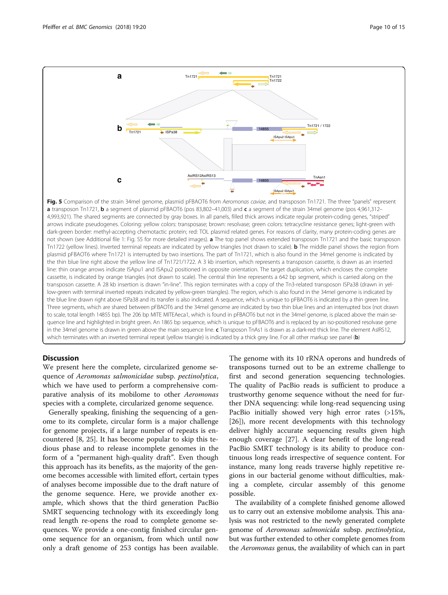<span id="page-9-0"></span>

Fig. 5 Comparison of the strain 34mel genome, plasmid pFBAOT6 from Aeromonas caviae, and transposon Tn1721. The three "panels" represent a transposon Tn1721, b a segment of plasmid pFBAOT6 (pos 83,802-41,003) and c a segment of the strain 34mel genome (pos 4,961,312-4,993,921). The shared segments are connected by gray boxes. In all panels, filled thick arrows indicate regular protein-coding genes, "striped" arrows indicate pseudogenes. Coloring: yellow colors: transposase; brown: resolvase; green colors: tetracycline resistance genes; light-green with dark-green border: methyl-accepting chemotactic protein; red: TOL plasmid related genes. For reasons of clarity, many protein-coding genes are not shown (see Additional file [1](#page-12-0): Fig. S5 for more detailed images). **a** The top panel shows extended transposon Tn1721 and the basic transposon Tn1722 (yellow lines). Inverted terminal repeats are indicated by yellow triangles (not drawn to scale). **b** The middle panel shows the region from plasmid pFBAOT6 where Tn1721 is interrupted by two insertions. The part of Tn1721, which is also found in the 34mel genome is indicated by the thin blue line right above the yellow line of Tn1721/1722. A 3 kb insertion, which represents a transposon cassette, is drawn as an inserted line: thin orange arrows indicate ISApu1 and ISApu2 positioned in opposite orientation. The target duplication, which encloses the complete cassette, is indicated by orange triangles (not drawn to scale). The central thin line represents a 642 bp segment, which is carried along on the transposon cassette. A 28 kb insertion is drawn "in-line". This region terminates with a copy of the Tn3-related transposon ISPa38 (drawn in yellow-green with terminal inverted repeats indicated by yellow-green triangles). The region, which is also found in the 34mel genome is indicated by the blue line drawn right above ISPa38 and its transfer is also indicated. A sequence, which is unique to pFBAOT6 is indicated by a thin green line. Three segments, which are shared between pFBAOT6 and the 34mel genome are indicated by two thin blue lines and an interrupted box (not drawn to scale, total length 14855 bp). The 206 bp MITE MITEAeca1, which is found in pFBAOT6 but not in the 34mel genome, is placed above the main sequence line and highlighted in bright green. An 1865 bp sequence, which is unique to pFBAOT6 and is replaced by an iso-positioned resolvase gene in the 34mel genome is drawn in green above the main sequence line. c Transposon TnAs1 is drawn as a dark-red thick line. The element AsIRS12, which terminates with an inverted terminal repeat (yellow triangle) is indicated by a thick grey line. For all other markup see panel (b)

## **Discussion**

We present here the complete, circularized genome sequence of Aeromonas salmonicidae subsp. pectinolytica, which we have used to perform a comprehensive comparative analysis of its mobilome to other Aeromonas species with a complete, circularized genome sequence.

Generally speaking, finishing the sequencing of a genome to its complete, circular form is a major challenge for genome projects, if a large number of repeats is encountered [\[8](#page-13-0), [25\]](#page-13-0). It has become popular to skip this tedious phase and to release incomplete genomes in the form of a "permanent high-quality draft". Even though this approach has its benefits, as the majority of the genome becomes accessible with limited effort, certain types of analyses become impossible due to the draft nature of the genome sequence. Here, we provide another example, which shows that the third generation PacBio SMRT sequencing technology with its exceedingly long read length re-opens the road to complete genome sequences. We provide a one-contig finished circular genome sequence for an organism, from which until now only a draft genome of 253 contigs has been available.

The genome with its 10 rRNA operons and hundreds of transposons turned out to be an extreme challenge to first and second generation sequencing technologies. The quality of PacBio reads is sufficient to produce a trustworthy genome sequence without the need for further DNA sequencing: while long-read sequencing using PacBio initially showed very high error rates (>15%, [[26\]](#page-13-0)), more recent developments with this technology deliver highly accurate sequencing results given high enough coverage [[27](#page-13-0)]. A clear benefit of the long-read PacBio SMRT technology is its ability to produce continuous long reads irrespective of sequence content. For instance, many long reads traverse highly repetitive regions in our bacterial genome without difficulties, making a complete, circular assembly of this genome possible.

The availability of a complete finished genome allowed us to carry out an extensive mobilome analysis. This analysis was not restricted to the newly generated complete genome of Aeromonas salmonicida subsp. pectinolytica, but was further extended to other complete genomes from the Aeromonas genus, the availability of which can in part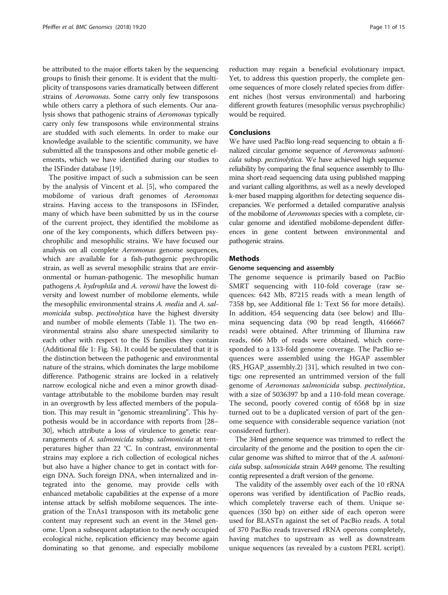be attributed to the major efforts taken by the sequencing groups to finish their genome. It is evident that the multiplicity of transposons varies dramatically between different strains of Aeromonas. Some carry only few transposons while others carry a plethora of such elements. Our analysis shows that pathogenic strains of Aeromonas typically carry only few transposons while environmental strains are studded with such elements. In order to make our knowledge available to the scientific community, we have submitted all the transposons and other mobile genetic elements, which we have identified during our studies to the ISFinder database [[19](#page-13-0)].

The positive impact of such a submission can be seen by the analysis of Vincent et al. [[5\]](#page-13-0), who compared the mobilome of various draft genomes of Aeromonas strains. Having access to the transposons in ISFinder, many of which have been submitted by us in the course of the current project, they identified the mobilome as one of the key components, which differs between psychrophilic and mesophilic strains. We have focused our analysis on all complete Aeromonas genome sequences, which are available for a fish-pathogenic psychropilic strain, as well as several mesophilic strains that are environmental or human-pathogenic. The mesophilic human pathogens A. hydrophila and A. veronii have the lowest diversity and lowest number of mobilome elements, while the mesophilic environmental strains A. media and A. salmonicida subsp. pectinolytica have the highest diversity and number of mobile elements (Table [1\)](#page-6-0). The two environmental strains also share unexpected similarity to each other with respect to the IS families they contain (Additional file [1:](#page-12-0) Fig. S4). It could be speculated that it is the distinction between the pathogenic and environmental nature of the strains, which dominates the large mobilome difference. Pathogenic strains are locked in a relatively narrow ecological niche and even a minor growth disadvantage attributable to the mobilome burden may result in an overgrowth by less affected members of the population. This may result in "genomic streamlining". This hypothesis would be in accordance with reports from [\[28](#page-14-0)– [30](#page-14-0)], which attribute a loss of virulence to genetic rearrangements of A. salmonicida subsp. salmonicida at temperatures higher than 22 °C. In contrast, environmental strains may explore a rich collection of ecological niches but also have a higher chance to get in contact with foreign DNA. Such foreign DNA, when internalized and integrated into the genome, may provide cells with enhanced metabolic capabilities at the expense of a more intense attack by selfish mobilome sequences. The integration of the TnAs1 transposon with its metabolic gene content may represent such an event in the 34mel genome. Upon a subsequent adaptation to the newly occupied ecological niche, replication efficiency may become again dominating so that genome, and especially mobilome

reduction may regain a beneficial evolutionary impact. Yet, to address this question properly, the complete genome sequences of more closely related species from different niches (host versus environmental) and harboring different growth features (mesophilic versus psychrophilic) would be required.

### Conclusions

We have used PacBio long-read sequencing to obtain a finalized circular genome sequence of Aeromonas salmonicida subsp. pectinolytica. We have achieved high sequence reliability by comparing the final sequence assembly to Illumina short-read sequencing data using published mapping and variant calling algorithms, as well as a newly developed k-mer based mapping algorithm for detecting sequence discrepancies. We performed a detailed comparative analysis of the mobilome of Aeromonas species with a complete, circular genome and identified mobilome-dependent differences in gene content between environmental and pathogenic strains.

## **Methods**

#### Genome sequencing and assembly

The genome sequence is primarily based on PacBio SMRT sequencing with 110-fold coverage (raw sequences: 642 Mb, 87215 reads with a mean length of 7358 bp, see Additional file [1:](#page-12-0) Text S6 for more details). In addition, 454 sequencing data (see below) and Illumina sequencing data (90 bp read length, 4166667 reads) were obtained. After trimming of Illumina raw reads, 666 Mb of reads were obtained, which corresponded to a 133-fold genome coverage. The PacBio sequences were assembled using the HGAP assembler (RS\_HGAP\_assembly.2) [\[31\]](#page-14-0), which resulted in two contigs: one represented an untrimmed version of the full genome of Aeromonas salmonicida subsp. pectinolytica, with a size of 5036397 bp and a 110-fold mean coverage. The second, poorly covered contig of 6568 bp in size turned out to be a duplicated version of part of the genome sequence with considerable sequence variation (not considered further).

The 34mel genome sequence was trimmed to reflect the circularity of the genome and the position to open the circular genome was shifted to mirror that of the A. salmonicida subsp. salmonicida strain A449 genome. The resulting contig represented a draft version of the genome.

The validity of the assembly over each of the 10 rRNA operons was verified by identification of PacBio reads, which completely traverse each of them. Unique sequences (350 bp) on either side of each operon were used for BLASTn against the set of PacBio reads. A total of 370 PacBio reads traversed rRNA operons completely, having matches to upstream as well as downstream unique sequences (as revealed by a custom PERL script).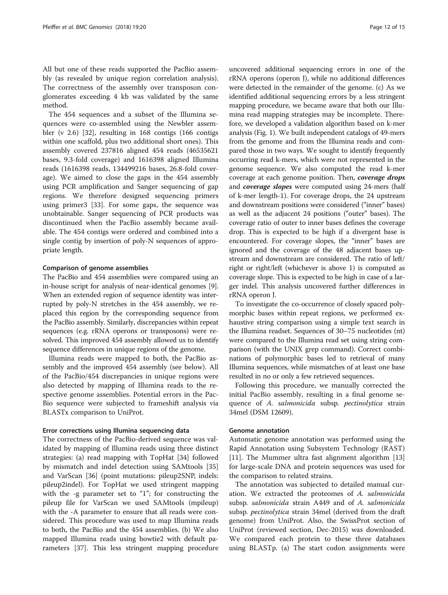All but one of these reads supported the PacBio assembly (as revealed by unique region correlation analysis). The correctness of the assembly over transposon conglomerates exceeding 4 kb was validated by the same method.

The 454 sequences and a subset of the Illumina sequences were co-assembled using the Newbler assembler (v 2.6) [[32](#page-14-0)], resulting in 168 contigs (166 contigs within one scaffold, plus two additional short ones). This assembly covered 237816 aligned 454 reads (46535621 bases, 9.3-fold coverage) and 1616398 aligned Illumina reads (1616398 reads, 134499216 bases, 26.8-fold coverage). We aimed to close the gaps in the 454 assembly using PCR amplification and Sanger sequencing of gap regions. We therefore designed sequencing primers using primer3 [\[33](#page-14-0)]. For some gaps, the sequence was unobtainable. Sanger sequencing of PCR products was discontinued when the PacBio assembly became available. The 454 contigs were ordered and combined into a single contig by insertion of poly-N sequences of appropriate length.

### Comparison of genome assemblies

The PacBio and 454 assemblies were compared using an in-house script for analysis of near-identical genomes [[9](#page-13-0)]. When an extended region of sequence identity was interrupted by poly-N stretches in the 454 assembly, we replaced this region by the corresponding sequence from the PacBio assembly. Similarly, discrepancies within repeat sequences (e.g. rRNA operons or transposons) were resolved. This improved 454 assembly allowed us to identify sequence differences in unique regions of the genome.

Illumina reads were mapped to both, the PacBio assembly and the improved 454 assembly (see below). All of the PacBio/454 discrepancies in unique regions were also detected by mapping of Illumina reads to the respective genome assemblies. Potential errors in the Pac-Bio sequence were subjected to frameshift analysis via BLASTx comparison to UniProt.

## Error corrections using Illumina sequencing data

The correctness of the PacBio-derived sequence was validated by mapping of Illumina reads using three distinct strategies: (a) read mapping with TopHat [[34](#page-14-0)] followed by mismatch and indel detection using SAMtools [[35](#page-14-0)] and VarScan [\[36\]](#page-14-0) (point mutations: pileup2SNP, indels: pileup2indel). For TopHat we used stringent mapping with the -g parameter set to "1"; for constructing the pileup file for VarScan we used SAMtools (mpileup) with the -A parameter to ensure that all reads were considered. This procedure was used to map Illumina reads to both, the PacBio and the 454 assemblies. (b) We also mapped Illumina reads using bowtie2 with default parameters [[37\]](#page-14-0). This less stringent mapping procedure

uncovered additional sequencing errors in one of the rRNA operons (operon J), while no additional differences were detected in the remainder of the genome. (c) As we identified additional sequencing errors by a less stringent mapping procedure, we became aware that both our Illumina read mapping strategies may be incomplete. Therefore, we developed a validation algorithm based on k-mer analysis (Fig. [1\)](#page-2-0). We built independent catalogs of 49-mers from the genome and from the Illumina reads and compared those in two ways. We sought to identify frequently occurring read k-mers, which were not represented in the genome sequence. We also computed the read k-mer coverage at each genome position. Then, coverage drops and *coverage slopes* were computed using 24-mers (half of k-mer length-1). For coverage drops, the 24 upstream and downstream positions were considered ("inner" bases) as well as the adjacent 24 positions ("outer" bases). The coverage ratio of outer to inner bases defines the coverage drop. This is expected to be high if a divergent base is encountered. For coverage slopes, the "inner" bases are ignored and the coverage of the 48 adjacent bases upstream and downstream are considered. The ratio of left/ right or right/left (whichever is above 1) is computed as coverage slope. This is expected to be high in case of a larger indel. This analysis uncovered further differences in rRNA operon J.

To investigate the co-occurrence of closely spaced polymorphic bases within repeat regions, we performed exhaustive string comparison using a simple text search in the Illumina readset. Sequences of 30–75 nucleotides (nt) were compared to the Illumina read set using string comparison (with the UNIX grep command). Correct combinations of polymorphic bases led to retrieval of many Illumina sequences, while mismatches of at least one base resulted in no or only a few retrieved sequences.

Following this procedure, we manually corrected the initial PacBio assembly, resulting in a final genome sequence of A. salmonicida subsp. pectinolytica strain 34mel (DSM 12609).

### Genome annotation

Automatic genome annotation was performed using the Rapid Annotation using Subsystem Technology (RAST) [[11\]](#page-13-0). The Mummer ultra fast alignment algorithm [[13](#page-13-0)] for large-scale DNA and protein sequences was used for the comparison to related strains.

The annotation was subjected to detailed manual curation. We extracted the proteomes of A. salmonicida subsp. salmonicida strain A449 and of A. salmonicida subsp. pectinolytica strain 34mel (derived from the draft genome) from UniProt. Also, the SwissProt section of UniProt (reviewed section, Dec-2015) was downloaded. We compared each protein to these three databases using BLASTp. (a) The start codon assignments were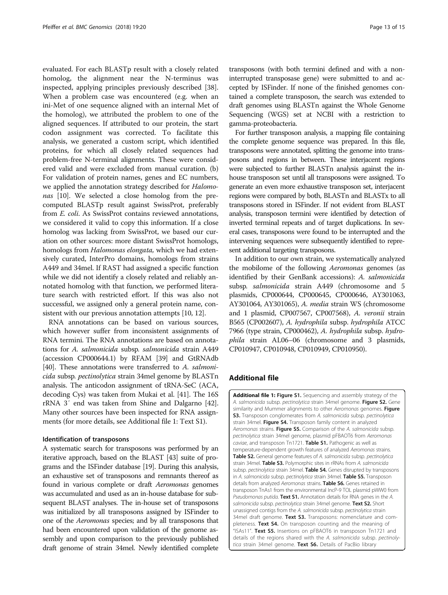<span id="page-12-0"></span>evaluated. For each BLASTp result with a closely related homolog, the alignment near the N-terminus was inspected, applying principles previously described [\[38](#page-14-0)]. When a problem case was encountered (e.g. when an ini-Met of one sequence aligned with an internal Met of the homolog), we attributed the problem to one of the aligned sequences. If attributed to our protein, the start codon assignment was corrected. To facilitate this analysis, we generated a custom script, which identified proteins, for which all closely related sequences had problem-free N-terminal alignments. These were considered valid and were excluded from manual curation. (b) For validation of protein names, genes and EC numbers, we applied the annotation strategy described for Halomo-nas [\[10\]](#page-13-0). We selected a close homolog from the precomputed BLASTp result against SwissProt, preferably from E. coli. As SwissProt contains reviewed annotations, we considered it valid to copy this information. If a close homolog was lacking from SwissProt, we based our curation on other sources: more distant SwissProt homologs, homologs from Halomonas elongata, which we had extensively curated, InterPro domains, homologs from strains A449 and 34mel. If RAST had assigned a specific function while we did not identify a closely related and reliably annotated homolog with that function, we performed literature search with restricted effort. If this was also not successful, we assigned only a general protein name, consistent with our previous annotation attempts [[10](#page-13-0), [12\]](#page-13-0).

RNA annotations can be based on various sources, which however suffer from inconsistent assignments of RNA termini. The RNA annotations are based on annotations for A. salmonicida subsp. salmonicida strain A449 (accession CP000644.1) by RFAM [[39](#page-14-0)] and GtRNAdb [[40](#page-14-0)]. These annotations were transferred to A. salmonicida subsp. pectinolytica strain 34mel genome by BLASTn analysis. The anticodon assignment of tRNA-SeC (ACA, decoding Cys) was taken from Mukai et al. [[41](#page-14-0)]. The 16S rRNA 3′ end was taken from Shine and Dalgarno [[42](#page-14-0)]. Many other sources have been inspected for RNA assignments (for more details, see Additional file 1: Text S1).

### Identification of transposons

A systematic search for transposons was performed by an iterative approach, based on the BLAST [\[43\]](#page-14-0) suite of programs and the ISFinder database [[19](#page-13-0)]. During this analysis, an exhaustive set of transposons and remnants thereof as found in various complete or draft Aeromonas genomes was accumulated and used as an in-house database for subsequent BLAST analyses. The in-house set of transposons was initialized by all transposons assigned by ISFinder to one of the Aeromonas species; and by all transposons that had been encountered upon validation of the genome assembly and upon comparison to the previously published draft genome of strain 34mel. Newly identified complete transposons (with both termini defined and with a noninterrupted transposase gene) were submitted to and accepted by ISFinder. If none of the finished genomes contained a complete transposon, the search was extended to draft genomes using BLASTn against the Whole Genome Sequencing (WGS) set at NCBI with a restriction to gamma-proteobacteria.

For further transposon analysis, a mapping file containing the complete genome sequence was prepared. In this file, transposons were annotated, splitting the genome into transposons and regions in between. These interjacent regions were subjected to further BLASTn analysis against the inhouse transposon set until all transposons were assigned. To generate an even more exhaustive transposon set, interjacent regions were compared by both, BLASTn and BLASTx to all transposons stored in ISFinder. If not evident from BLAST analysis, transposon termini were identified by detection of inverted terminal repeats and of target duplications. In several cases, transposons were found to be interrupted and the intervening sequences were subsequently identified to represent additional targeting transposons.

In addition to our own strain, we systematically analyzed the mobilome of the following Aeromonas genomes (as identified by their GenBank accessions): A. salmonicida subsp. salmonicida strain A449 (chromosome and 5 plasmids, CP000644, CP000645, CP000646, AY301063, AY301064, AY301065), A. media strain WS (chromosome and 1 plasmid, CP007567, CP007568), A. veronii strain B565 (CP002607), A. hydrophila subsp. hydrophila ATCC 7966 (type strain, CP000462), A. hydrophila subsp. hydrophila strain AL06–06 (chromosome and 3 plasmids, CP010947, CP010948, CP010949, CP010950).

### Additional file

[Additional file 1:](dx.doi.org/10.1186/s12864-017-4301-6) Figure S1. Sequencing and assembly strategy of the A. salmonicida subsp. pectinolytica strain 34mel genome. Figure S2. Gene similarity and Mummer alignments to other Aeromonas genomes. Figure S3. Transposon conglomerates from A. salmonicida subsp. pectinolytica strain 34mel. Figure S4. Transposon family content in analyzed Aeromonas strains. Figure S5. Comparison of the A. salmonicida subsp. pectinolytica strain 34mel genome, plasmid pFBAOT6 from Aeromonas caviae, and transposon Tn1721. Table S1. Pathogenic as well as temperature-dependent growth features of analyzed Aeromonas strains. Table S2. General genome features of A. salmonicida subsp. pectinolytica strain 34mel. Table S3. Polymorphic sites in rRNAs from A. salmonicida subsp. pectinolytica strain 34mel. Table S4. Genes disrupted by transposons in A. salmonicida subsp. pectinolytica strain 34mel. Table S5. Transposon details from analyzed Aeromonas strains. Table S6. Genes retained in transposon TnAs1 from the environmental IncP-9 TOL plasmid pWW0 from Pseudomonas putida. Text S1. Annotation details for RNA genes in the A. salmonicida subsp. pectinolytica strain 34mel genome. Text S2. Short unassigned contigs from the A. salmonicida subsp. pectinolytica strain 34mel draft genome. Text S3. Transposons: nomenclature and completeness. Text S4. On transposon counting and the meaning of "ISAs11". Text S5. Insertions on pFBAOT6 in transposon Tn1721 and details of the regions shared with the A. salmonicida subsp. pectinolytica strain 34mel genome. Text S6. Details of PacBio library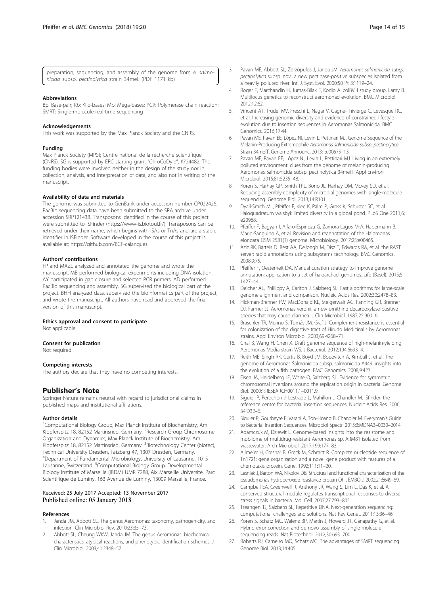<span id="page-13-0"></span>

| preparation, sequencing, and assembly of the genome from A. salmo- |  |  |  |  |  |
|--------------------------------------------------------------------|--|--|--|--|--|
| nicida subsp. pectinolytica strain 34mel. (PDF 1171 kb)            |  |  |  |  |  |

#### **Abbreviations**

Bp: Base-pair; Kb: Kilo-bases; Mb: Mega-bases; PCR: Polymerase chain reaction; SMRT: Single-molecule real-time sequencing

#### Acknowledgements

This work was supported by the Max Planck Society and the CNRS.

#### Funding

Max Planck Society (MPS); Centre national de la recherche scientifique (CNRS). SG is supported by ERC starting grant "ChroCoDyle", #724482. The funding bodies were involved neither in the design of the study nor in collection, analysis, and interpretation of data, and also not in writing of the manuscript.

#### Availability of data and materials

The genome was submitted to GenBank under accession number CP022426. PacBio sequencing data have been submitted to the SRA archive under accession SRP121438. Transposons identified in the course of this project were submitted to ISFinder [\(https://www-is.biotoul.fr/](https://www-is.biotoul.fr/)). Transposons can be retrieved under their name, which begins with ISAs or TnAs and are a stable identifier in ISFinder. Software developed in the course of this project is available at:<https://github.com/BCF-calanques>.

#### Authors' contributions

FP and MAZL analyzed and annotated the genome and wrote the manuscript. MB performed biological experiments including DNA isolation. AY participated in gap closure and selected PCR primers. AD performed PacBio sequencing and assembly. SG supervised the biological part of the project. BHH analyzed data, supervised the bioinformatics part of the project, and wrote the manuscript. All authors have read and approved the final version of this manuscript.

#### Ethics approval and consent to participate

Not applicable.

#### Consent for publication

Not required.

#### Competing interests

The authors declare that they have no competing interests.

### Publisher's Note

Springer Nature remains neutral with regard to jurisdictional claims in published maps and institutional affiliations.

#### Author details

<sup>1</sup>Computational Biology Group, Max Planck Institute of Biochemistry, Am Klopferspitz 18, 82152 Martinsried, Germany. <sup>2</sup>Research Group Chromosome Organization and Dynamics, Max Planck Institute of Biochemistry, Am Klopferspitz 18, 82152 Martinsried, Germany. <sup>3</sup>Biotechnology Center (biotec), Technical University Dresden, Tatzberg 47, 1307 Dresden, Germany. 4 Department of Fundamental Microbiology, University of Lausanne, 1015 Lausanne, Switzerland. <sup>5</sup>Computational Biology Group, Developmental Biology Institute of Marseille (IBDM) UMR 7288, Aix Marseille Universite, Parc Scientifique de Luminy, 163 Avenue de Luminy, 13009 Marseille, France.

#### Received: 25 July 2017 Accepted: 13 November 2017 Published online: 05 January 2018

#### References

- Janda JM, Abbott SL. The genus Aeromonas: taxonomy, pathogenicity, and infection. Clin Microbiol Rev. 2010;23:35–73.
- 2. Abbott SL, Cheung WKW, Janda JM. The genus Aeromonas: biochemical characteristics, atypical reactions, and phenotypic identification schemes. J Clin Microbiol. 2003;41:2348–57.
- 3. Pavan ME, Abbott SL, Zorzópulos J, Janda JM. Aeromonas salmonicida subsp. pectinolytica subsp. nov., a new pectinase-positive subspecies isolated from a heavily polluted river. Int. J. Syst. Evol. 2000;50 Pt 3:1119–24.
- 4. Roger F, Marchandin H, Jumas-Bilak E, Kodjo A. colBVH study group, Lamy B. Multilocus genetics to reconstruct aeromonad evolution. BMC Microbiol. 2012;12:62.
- 5. Vincent AT, Trudel MV, Freschi L, Nagar V, Gagné-Thivierge C, Levesque RC, et al. Increasing genomic diversity and evidence of constrained lifestyle evolution due to insertion sequences in Aeromonas Salmonicida. BMC Genomics. 2016;17:44.
- 6. Pavan ME, Pavan EE, López NI, Levin L, Pettinari MJ. Genome Sequence of the Melanin-Producing Extremophile Aeromonas salmonicida subsp. pectinolytica Strain 34melT. Genome Announc. 2013;1;e00675–13.
- 7. Pavan ME, Pavan EE, López NI, Levin L, Pettinari MJ. Living in an extremely polluted environment: clues from the genome of melanin-producing Aeromonas Salmonicida subsp. pectinolytica 34melT. Appl Environ Microbiol. 2015;81:5235–48.
- Koren S, Harhay GP, Smith TPL, Bono JL, Harhay DM, Mcvey SD, et al. Reducing assembly complexity of microbial genomes with single-molecule sequencing. Genome Biol. 2013;14:R101.
- 9. Dyall-Smith ML, Pfeiffer F, Klee K, Palm P, Gross K, Schuster SC, et al. Haloquadratum walsbyi: limited diversity in a global pond. PLoS One 2011;6; e20968.
- 10. Pfeiffer F, Bagyan I, Alfaro-Espinoza G, Zamora-Lagos M-A, Habermann B, Marin-Sanguino A, et al. Revision and reannotation of the Halomonas elongata DSM 2581(T) genome. Microbiology. 2017;25:e00465.
- 11. Aziz RK, Bartels D. Best AA, DeJongh M, Disz T, Edwards RA, et al. the RAST server: rapid annotations using subsystems technology. BMC Genomics. 2008;9:75.
- 12. Pfeiffer F, Oesterhelt DA. Manual curation strategy to improve genome annotation: application to a set of haloarchael genomes. Life (Basel). 2015;5: 1427–44.
- 13. Delcher AL, Phillippy A, Carlton J, Salzberg SL. Fast algorithms for large-scale genome alignment and comparison. Nucleic Acids Res. 2002;30:2478–83.
- 14. Hickman-Brenner FW, MacDonald KL, Steigerwalt AG, Fanning GR, Brenner DJ, Farmer JJ. Aeromonas veronii, a new ornithine decarboxylase-positive species that may cause diarrhea. J Clin Microbiol. 1987;25:900–6.
- 15. Braschler TR, Merino S, Tomás JM, Graf J. Complement resistance is essential for colonization of the digestive tract of Hirudo Medicinalis by Aeromonas strains. Appl Environ Microbiol. 2003;69:4268–71.
- 16. Chai B, Wang H, Chen X. Draft genome sequence of high-melanin-yielding Aeromonas Media strain WS. J Bacteriol. 2012;194:6693–4.
- 17. Reith ME, Singh RK, Curtis B, Boyd JM, Bouevitch A, Kimball J, et al. The genome of Aeromonas Salmonicida subsp. salmonicida A449: insights into the evolution of a fish pathogen. BMC Genomics. 2008;9:427.
- 18. Eisen JA, Heidelberg JF, White O, Salzberg SL. Evidence for symmetric chromosomal inversions around the replication origin in bacteria. Genome Biol. 2000;1:RESEARCH0011.1–0011.9.
- 19. Siguier P, Perochon J, Lestrade L, Mahillon J, Chandler M. ISfinder: the reference centre for bacterial insertion sequences. Nucleic Acids Res. 2006; 34:D32–6.
- 20. Siguier P, Gourbeyre E, Varani A, Ton-Hoang B, Chandler M. Everyman's Guide to Bacterial Insertion Sequences. Microbiol Spectr. 2015;3:MDNA3–0030–2014.
- 21. Adamczuk M, Dziewit L. Genome-based insights into the resistome and mobilome of multidrug-resistant Aeromonas sp. ARM81 isolated from wastewater. Arch Microbiol. 2017;199:177–83.
- 22. Allmeier H, Cresnar B, Greck M, Schmitt R. Complete nucleotide sequence of Tn1721: gene organization and a novel gene product with features of a chemotaxis protein. Gene. 1992;111:11–20.
- 23. Lesniak J, Barton WA, Nikolov DB. Structural and functional characterization of the pseudomonas hydroperoxide resistance protein Ohr. EMBO J. 2002;21:6649–59.
- 24. Campbell EA, Greenwell R, Anthony JR, Wang S, Lim L, Das K, et al. A conserved structural module regulates transcriptional responses to diverse stress signals in bacteria. Mol Cell. 2007;27:793–805.
- 25. Treangen TJ, Salzberg SL, Repetitive DNA. Next-generation sequencing: computational challenges and solutions. Nat Rev Genet. 2011;13:36–46.
- 26. Koren S, Schatz MC, Walenz BP, Martin J, Howard JT, Ganapathy G, et al. Hybrid error correction and de novo assembly of single-molecule sequencing reads. Nat Biotechnol. 2012;30:693–700.
- 27. Roberts RJ, Carneiro MO, Schatz MC. The advantages of SMRT sequencing. Genome Biol. 2013;14:405.